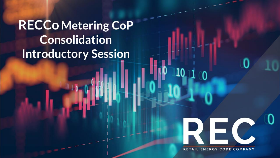**RECCo Metering CoP Consolidation Introductory Session** 

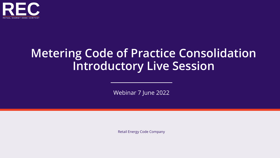

## **Metering Code of Practice Consolidation Introductory Live Session**

Webinar 7 June 2022

Retail Energy Code Company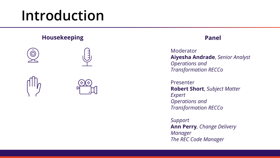# **Introduction**

# **Housekeeping**0

#### **Panel**

Moderator **Aiyesha Andrade**, *Senior Analyst Operations and Transformation RECCo*

Presenter **Robert Short**, *Subject Matter Expert Operations and Transformation RECCo*

*Support* **Ann Perry***, Change Delivery Manager The REC Code Manager*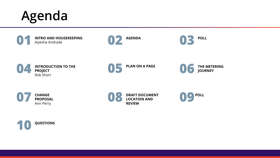



















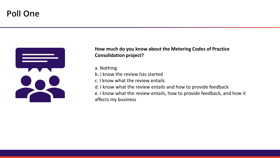### **Poll One**



#### **How much do you know about the Metering Codes of Practice Consolidation project?**

a. Nothing

b. I know the review has started

c. I know what the review entails

d. I know what the review entails and how to provide feedback e. I know what the review entails, how to provide feedback, and how it

affects my business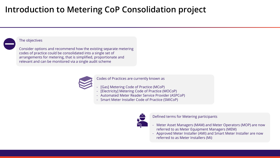### **Introduction to Metering CoP Consolidation project**

#### The objectives

Consider options and recommend how the existing separate metering codes of practice could be consolidated into a single set of arrangements for metering, that is simplified, proportionate and relevant and can be monitored via a single audit scheme



Codes of Practices are currently known as

- [Gas] Metering Code of Practice (MCoP)
- [Electricity] Metering Code of Practice (MOCoP)
- Automated Meter Reader Service Provider (ASPCoP)
- Smart Meter Installer Code of Practice (SMICoP)



Defined terms for Metering participants

- Meter Asset Managers (MAM) and Meter Operators (MOP) are now referred to as Meter Equipment Managers (MEM)
- Approved Meter Installer (AMI) and Smart Meter Installer are now referred to as Meter Installers (Mi)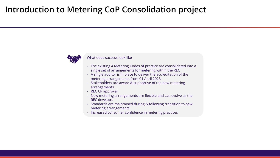### **Introduction to Metering CoP Consolidation project**



#### What does success look like

- The existing 4 Metering Codes of practice are consolidated into a single set of arrangements for metering within the REC
- A single auditor is in place to deliver the accreditation of the metering arrangements from 01 April 2023
- Stakeholders are aware & supportive of the new metering arrangements
- REC CP approval
- New metering arrangements are flexible and can evolve as the REC develops
- Standards are maintained during & following transition to new metering arrangements
- Increased consumer confidence in metering practices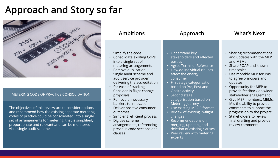### **Approach and Story so far**



#### METERING CODE OF PRACTICE CONSOLIDATION

The objectives of this review are to consider options and recommend how the existing separate metering codes of practice could be consolidated into a single set of arrangements for metering, that is simplified, proportionate and relevant and can be monitored via a single audit scheme

| <b>Ambitions</b>                                                                                                                                                                                                                                                                                                                                                                                                                                                                                                            | Approach                                                                                                                                                                                                                                                                                                                                                                                                                                                                                                                                                                   | <b>What's Next</b>                                                                                                                                                                                                                                                                                                                                                                                                                                                     |  |
|-----------------------------------------------------------------------------------------------------------------------------------------------------------------------------------------------------------------------------------------------------------------------------------------------------------------------------------------------------------------------------------------------------------------------------------------------------------------------------------------------------------------------------|----------------------------------------------------------------------------------------------------------------------------------------------------------------------------------------------------------------------------------------------------------------------------------------------------------------------------------------------------------------------------------------------------------------------------------------------------------------------------------------------------------------------------------------------------------------------------|------------------------------------------------------------------------------------------------------------------------------------------------------------------------------------------------------------------------------------------------------------------------------------------------------------------------------------------------------------------------------------------------------------------------------------------------------------------------|--|
| • Simplify the code<br>• Consolidate existing CoP's<br>into a single set of<br>metering arrangements<br>• Remove duplication<br>• Single audit scheme and<br>audit service provider<br>delivering the accreditation<br>• for ease of tracking<br>• Consider in flight change<br>proposals<br>• Remove unnecessary<br>barriers to innovation<br>Deliver positive consumer<br>outcomes<br>· Simpler & efficient process<br>Digitise scheme<br>$\bullet$<br>arrangements, referencing<br>previous code sections and<br>clauses | • Understand key<br>stakeholders and effected<br>parties<br>Agree Terms of Reference<br>$\bullet$<br>How do individual clauses<br>affect the energy<br>consumer<br>• First stage categorisation<br>based on Pre, Post and<br>Onsite activity<br>Second stage<br>$\bullet$<br>categorisation based on<br>Metering journey<br>Use existing MCOP format<br>$\bullet$<br>Review of existing in-flight<br>$\bullet$<br>changes<br>Recommendations on<br>$\bullet$<br>merging, updating and<br>deletion of existing clauses<br>Peer review with metering<br>$\bullet$<br>experts | Sharing recommendations<br>and updates with the MEP<br>and MEMs<br>• Share POAP and known<br>timescales<br>• Use monthly MEP forums<br>to agree principals and<br>updates<br>Opportunity for MEP to<br>provide feedback on wider<br>stakeholder engagement<br>Give MEP members, MEMs,<br>$\bullet$<br>MIs the ability to provide<br>comments to support the<br>progression to the project<br>• Stakeholders to review<br>final drafting and provide<br>review comments |  |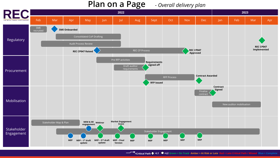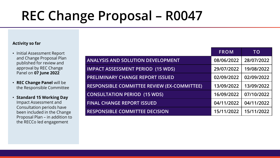# **REC Change Proposal – R0047**

#### **Activity so far**

- Initial Assessment Report and Change Proposal Plan published for review and approval by REC Change Panel on **07 June 2022**
- **REC Change Panel** will be the Responsible Committee
- **Standard 15 Working Day**  Impact Assessment and Consultation periods have been included in the Change Proposal Plan – in addition to the RECCo led engagement

|                                                    | <b>FROM</b> | TO         |
|----------------------------------------------------|-------------|------------|
| <b>ANALYSIS AND SOLUTION DEVELOPMENT</b>           | 08/06/2022  | 28/07/2022 |
| <b>IMPACT ASSESSMENT PERIOD (15 WDS)</b>           | 29/07/2022  | 19/08/2022 |
| <b>PRELIMINARY CHANGE REPORT ISSUED</b>            | 02/09/2022  | 02/09/2022 |
| <b>RESPONSIBLE COMMITTEE REVIEW (EX-COMMITTEE)</b> | 13/09/2022  | 13/09/2022 |
| <b>CONSULTATION PERIOD (15 WDS)</b>                | 16/09/2022  | 07/10/2022 |
| <b>FINAL CHANGE REPORT ISSUED</b>                  | 04/11/2022  | 04/11/2022 |
| <b>RESPONSIBLE COMMITTEE DECISION</b>              | 15/11/2022  | 15/11/2022 |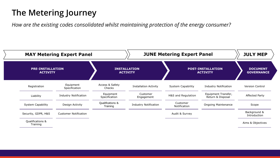### **The Metering Journey**

*How are the existing codes consolidated whilst maintaining protection of the energy consumer?*

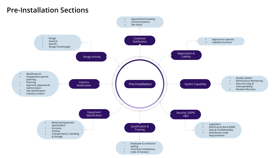### **Pre-Installation Sections**

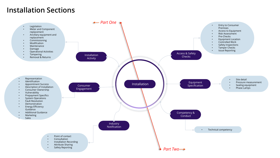### **Installation Sections**

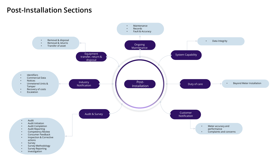### **Post-Installation Sections**

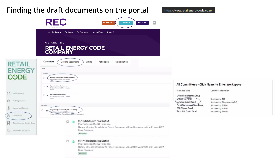### **Finding the draft documents on the portal**

价

563

 $\frac{8}{3}$ 

Committee Information

Next Meeting: 08 June (w/ OMF-E)

Next Meeting: TBD

Next Meeting: 31 May

Next Meeting: 17 May

Next Meeting: 25 May



**Basic Document** APPROVED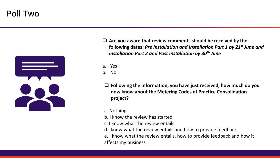### **Poll Two**



- ❑ **Are you aware that review comments should be received by the following dates:** *Pre Installation and Installation Part 1 by 21st June and Installation Part 2 and Post Installation by 30th June*
- a. Yes
- b. No
- ❑ **Following the information, you have just received, how much do you now know about the Metering Codes of Practice Consolidation project?**
- a. Nothing
- b. I know the review has started
- c. I know what the review entails
- d. know what the review entails and how to provide feedback
- e. I know what the review entails, how to provide feedback and how it affects my business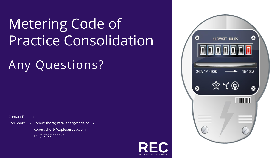# Metering Code of Practice Consolidation

# Any Questions?

Contact Details:

- Rob Short [Robert.short@retailenergycode.co.uk](mailto:Robert.short@retailenergycode.co.uk)
	- [Robert.short@expleogroup.com](mailto:Robert.short@expleogroup.com)
	- +44(0)7977 233240